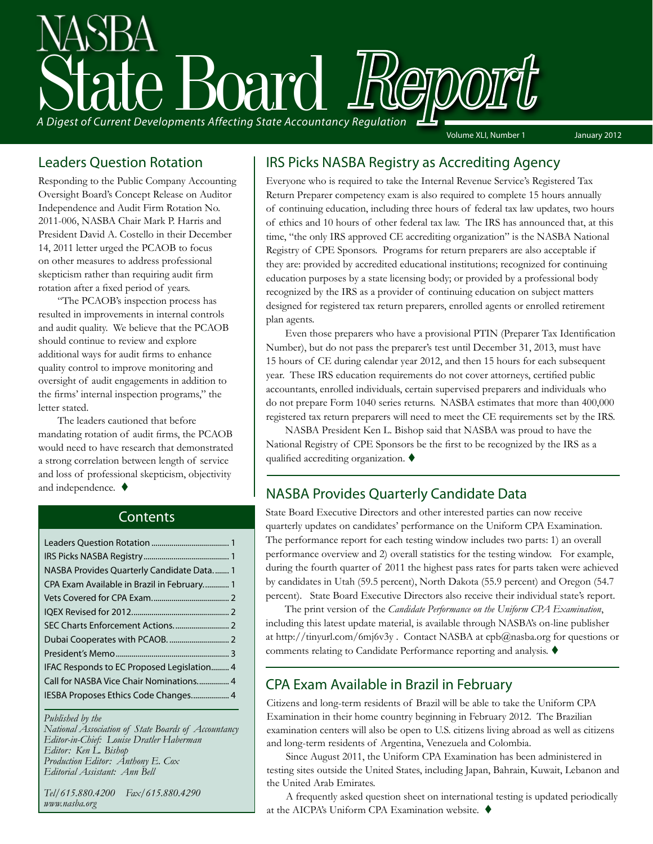

#### Leaders Question Rotation

Responding to the Public Company Accounting Oversight Board's Concept Release on Auditor Independence and Audit Firm Rotation No. 2011-006, NASBA Chair Mark P. Harris and President David A. Costello in their December 14, 2011 letter urged the PCAOB to focus on other measures to address professional skepticism rather than requiring audit firm rotation after a fixed period of years.

"The PCAOB's inspection process has resulted in improvements in internal controls and audit quality. We believe that the PCAOB should continue to review and explore additional ways for audit firms to enhance quality control to improve monitoring and oversight of audit engagements in addition to the firms' internal inspection programs," the letter stated.

The leaders cautioned that before mandating rotation of audit firms, the PCAOB would need to have research that demonstrated a strong correlation between length of service and loss of professional skepticism, objectivity and independence.  $\blacklozenge$ 

#### **Contents**

| NASBA Provides Quarterly Candidate Data 1  |  |
|--------------------------------------------|--|
| CPA Exam Available in Brazil in February 1 |  |
|                                            |  |
|                                            |  |
|                                            |  |
|                                            |  |
|                                            |  |
| IFAC Responds to EC Proposed Legislation 4 |  |
| Call for NASBA Vice Chair Nominations 4    |  |
| IESBA Proposes Ethics Code Changes 4       |  |
|                                            |  |

*Published by the* 

*National Association of State Boards of Accountancy Editor-in-Chief: Louise Dratler Haberman Editor: Ken L. Bishop Production Editor: Anthony E. Cox Editorial Assistant: Ann Bell* 

*Tel/615.880.4200 Fax/615.880.4290 www.nasba.org*

#### IRS Picks NASBA Registry as Accrediting Agency

Everyone who is required to take the Internal Revenue Service's Registered Tax Return Preparer competency exam is also required to complete 15 hours annually of continuing education, including three hours of federal tax law updates, two hours of ethics and 10 hours of other federal tax law. The IRS has announced that, at this time, "the only IRS approved CE accrediting organization" is the NASBA National Registry of CPE Sponsors. Programs for return preparers are also acceptable if they are: provided by accredited educational institutions; recognized for continuing education purposes by a state licensing body; or provided by a professional body recognized by the IRS as a provider of continuing education on subject matters designed for registered tax return preparers, enrolled agents or enrolled retirement plan agents.

Even those preparers who have a provisional PTIN (Preparer Tax Identification Number), but do not pass the preparer's test until December 31, 2013, must have 15 hours of CE during calendar year 2012, and then 15 hours for each subsequent year. These IRS education requirements do not cover attorneys, certified public accountants, enrolled individuals, certain supervised preparers and individuals who do not prepare Form 1040 series returns. NASBA estimates that more than 400,000 registered tax return preparers will need to meet the CE requirements set by the IRS.

NASBA President Ken L. Bishop said that NASBA was proud to have the National Registry of CPE Sponsors be the first to be recognized by the IRS as a qualified accrediting organization.  $\blacklozenge$ 

### NASBA Provides Quarterly Candidate Data

State Board Executive Directors and other interested parties can now receive quarterly updates on candidates' performance on the Uniform CPA Examination. The performance report for each testing window includes two parts: 1) an overall performance overview and 2) overall statistics for the testing window. For example, during the fourth quarter of 2011 the highest pass rates for parts taken were achieved by candidates in Utah (59.5 percent), North Dakota (55.9 percent) and Oregon (54.7 percent). State Board Executive Directors also receive their individual state's report.

The print version of the *Candidate Performance on the Uniform CPA Examination*, including this latest update material, is available through NASBA's on-line publisher at http://tinyurl.com/6mj6v3y . Contact NASBA at cpb@nasba.org for questions or comments relating to Candidate Performance reporting and analysis.  $\blacklozenge$ 

### CPA Exam Available in Brazil in February

Citizens and long-term residents of Brazil will be able to take the Uniform CPA Examination in their home country beginning in February 2012. The Brazilian examination centers will also be open to U.S. citizens living abroad as well as citizens and long-term residents of Argentina, Venezuela and Colombia.

Since August 2011, the Uniform CPA Examination has been administered in testing sites outside the United States, including Japan, Bahrain, Kuwait, Lebanon and the United Arab Emirates.

A frequently asked question sheet on international testing is updated periodically at the AICPA's Uniform CPA Examination website.  $\blacklozenge$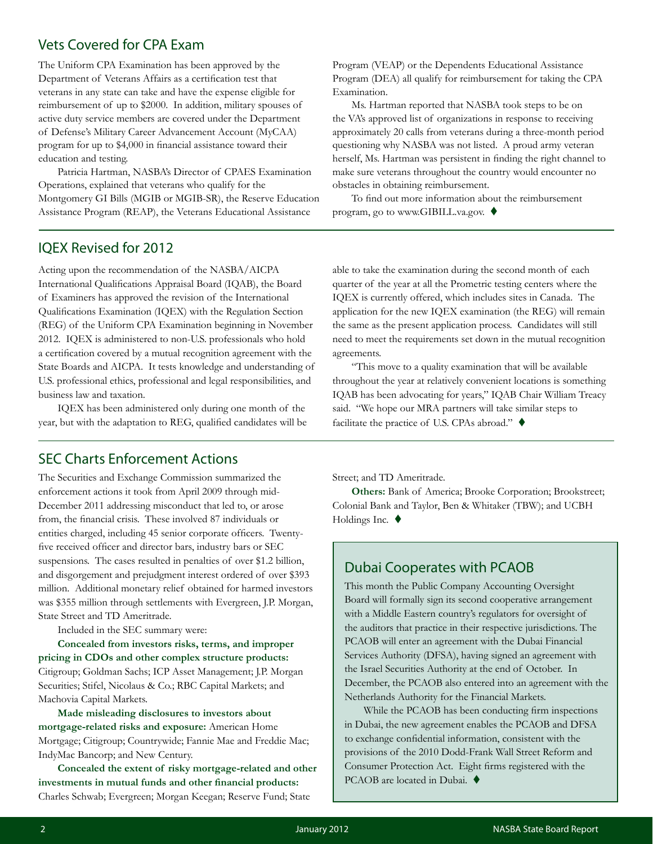#### Vets Covered for CPA Exam

The Uniform CPA Examination has been approved by the Department of Veterans Affairs as a certification test that veterans in any state can take and have the expense eligible for reimbursement of up to \$2000. In addition, military spouses of active duty service members are covered under the Department of Defense's Military Career Advancement Account (MyCAA) program for up to \$4,000 in financial assistance toward their education and testing.

Patricia Hartman, NASBA's Director of CPAES Examination Operations, explained that veterans who qualify for the Montgomery GI Bills (MGIB or MGIB-SR), the Reserve Education Assistance Program (REAP), the Veterans Educational Assistance

IQEX Revised for 2012

Acting upon the recommendation of the NASBA/AICPA International Qualifications Appraisal Board (IQAB), the Board of Examiners has approved the revision of the International Qualifications Examination (IQEX) with the Regulation Section (REG) of the Uniform CPA Examination beginning in November 2012. IQEX is administered to non-U.S. professionals who hold a certification covered by a mutual recognition agreement with the State Boards and AICPA. It tests knowledge and understanding of U.S. professional ethics, professional and legal responsibilities, and business law and taxation.

IQEX has been administered only during one month of the year, but with the adaptation to REG, qualified candidates will be

#### SEC Charts Enforcement Actions

The Securities and Exchange Commission summarized the enforcement actions it took from April 2009 through mid-December 2011 addressing misconduct that led to, or arose from, the financial crisis. These involved 87 individuals or entities charged, including 45 senior corporate officers. Twentyfive received officer and director bars, industry bars or SEC suspensions. The cases resulted in penalties of over \$1.2 billion, and disgorgement and prejudgment interest ordered of over \$393 million. Additional monetary relief obtained for harmed investors was \$355 million through settlements with Evergreen, J.P. Morgan, State Street and TD Ameritrade.

Included in the SEC summary were:

**Concealed from investors risks, terms, and improper pricing in CDOs and other complex structure products:**  Citigroup; Goldman Sachs; ICP Asset Management; J.P. Morgan Securities; Stifel, Nicolaus & Co.; RBC Capital Markets; and Machovia Capital Markets.

**Made misleading disclosures to investors about mortgage-related risks and exposure:** American Home Mortgage; Citigroup; Countrywide; Fannie Mae and Freddie Mac; IndyMac Bancorp; and New Century.

**Concealed the extent of risky mortgage-related and other investments in mutual funds and other financial products:**  Charles Schwab; Evergreen; Morgan Keegan; Reserve Fund; State

Program (VEAP) or the Dependents Educational Assistance Program (DEA) all qualify for reimbursement for taking the CPA Examination.

Ms. Hartman reported that NASBA took steps to be on the VA's approved list of organizations in response to receiving approximately 20 calls from veterans during a three-month period questioning why NASBA was not listed. A proud army veteran herself, Ms. Hartman was persistent in finding the right channel to make sure veterans throughout the country would encounter no obstacles in obtaining reimbursement.

To find out more information about the reimbursement program, go to www.GIBILL.va.gov.  $\blacklozenge$ 

able to take the examination during the second month of each quarter of the year at all the Prometric testing centers where the IQEX is currently offered, which includes sites in Canada. The application for the new IQEX examination (the REG) will remain the same as the present application process. Candidates will still need to meet the requirements set down in the mutual recognition agreements.

"This move to a quality examination that will be available throughout the year at relatively convenient locations is something IQAB has been advocating for years," IQAB Chair William Treacy said. "We hope our MRA partners will take similar steps to facilitate the practice of U.S. CPAs abroad."  $\blacklozenge$ 

Street; and TD Ameritrade.

**Others:** Bank of America; Brooke Corporation; Brookstreet; Colonial Bank and Taylor, Ben & Whitaker (TBW); and UCBH Holdings Inc.  $\blacklozenge$ 

### Dubai Cooperates with PCAOB

This month the Public Company Accounting Oversight Board will formally sign its second cooperative arrangement with a Middle Eastern country's regulators for oversight of the auditors that practice in their respective jurisdictions. The PCAOB will enter an agreement with the Dubai Financial Services Authority (DFSA), having signed an agreement with the Israel Securities Authority at the end of October. In December, the PCAOB also entered into an agreement with the Netherlands Authority for the Financial Markets.

While the PCAOB has been conducting firm inspections in Dubai, the new agreement enables the PCAOB and DFSA to exchange confidential information, consistent with the provisions of the 2010 Dodd-Frank Wall Street Reform and Consumer Protection Act. Eight firms registered with the PCAOB are located in Dubai.  $\blacklozenge$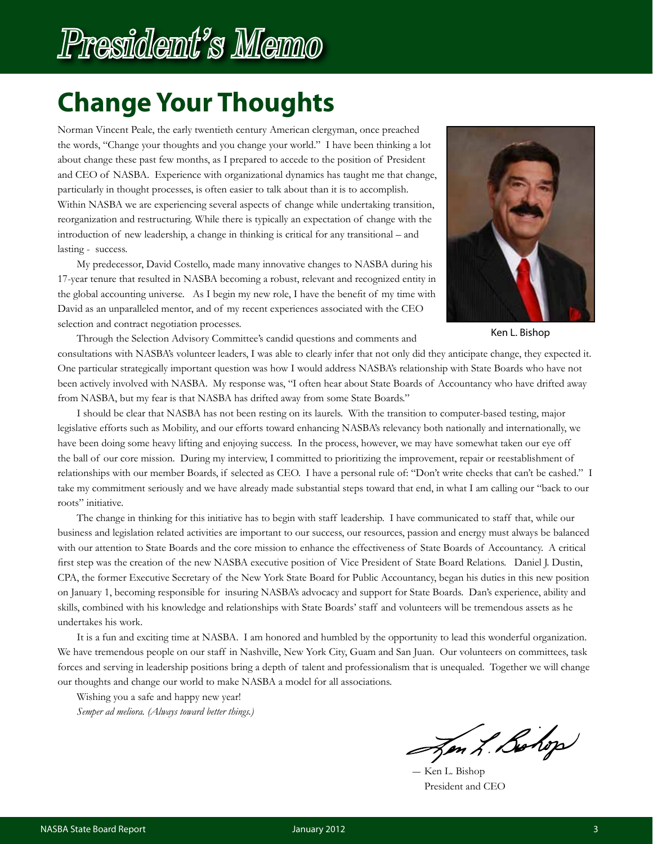# President's Memo

## **Change Your Thoughts**

Norman Vincent Peale, the early twentieth century American clergyman, once preached the words, "Change your thoughts and you change your world." I have been thinking a lot about change these past few months, as I prepared to accede to the position of President and CEO of NASBA. Experience with organizational dynamics has taught me that change, particularly in thought processes, is often easier to talk about than it is to accomplish. Within NASBA we are experiencing several aspects of change while undertaking transition, reorganization and restructuring. While there is typically an expectation of change with the introduction of new leadership, a change in thinking is critical for any transitional – and lasting - success.

My predecessor, David Costello, made many innovative changes to NASBA during his 17-year tenure that resulted in NASBA becoming a robust, relevant and recognized entity in the global accounting universe. As I begin my new role, I have the benefit of my time with David as an unparalleled mentor, and of my recent experiences associated with the CEO selection and contract negotiation processes.



Ken L. Bishop

Through the Selection Advisory Committee's candid questions and comments and consultations with NASBA's volunteer leaders, I was able to clearly infer that not only did they anticipate change, they expected it. One particular strategically important question was how I would address NASBA's relationship with State Boards who have not been actively involved with NASBA. My response was, "I often hear about State Boards of Accountancy who have drifted away from NASBA, but my fear is that NASBA has drifted away from some State Boards."

I should be clear that NASBA has not been resting on its laurels. With the transition to computer-based testing, major legislative efforts such as Mobility, and our efforts toward enhancing NASBA's relevancy both nationally and internationally, we have been doing some heavy lifting and enjoying success. In the process, however, we may have somewhat taken our eye off the ball of our core mission. During my interview, I committed to prioritizing the improvement, repair or reestablishment of relationships with our member Boards, if selected as CEO. I have a personal rule of: "Don't write checks that can't be cashed." I take my commitment seriously and we have already made substantial steps toward that end, in what I am calling our "back to our roots" initiative.

The change in thinking for this initiative has to begin with staff leadership. I have communicated to staff that, while our business and legislation related activities are important to our success, our resources, passion and energy must always be balanced with our attention to State Boards and the core mission to enhance the effectiveness of State Boards of Accountancy. A critical first step was the creation of the new NASBA executive position of Vice President of State Board Relations. Daniel J. Dustin, CPA, the former Executive Secretary of the New York State Board for Public Accountancy, began his duties in this new position on January 1, becoming responsible for insuring NASBA's advocacy and support for State Boards. Dan's experience, ability and skills, combined with his knowledge and relationships with State Boards' staff and volunteers will be tremendous assets as he undertakes his work.

It is a fun and exciting time at NASBA. I am honored and humbled by the opportunity to lead this wonderful organization. We have tremendous people on our staff in Nashville, New York City, Guam and San Juan. Our volunteers on committees, task forces and serving in leadership positions bring a depth of talent and professionalism that is unequaled. Together we will change our thoughts and change our world to make NASBA a model for all associations.

Wishing you a safe and happy new year!

*Semper ad meliora. (Always toward better things.)*

Jen L. Bohop

― Ken L. Bishop President and CEO